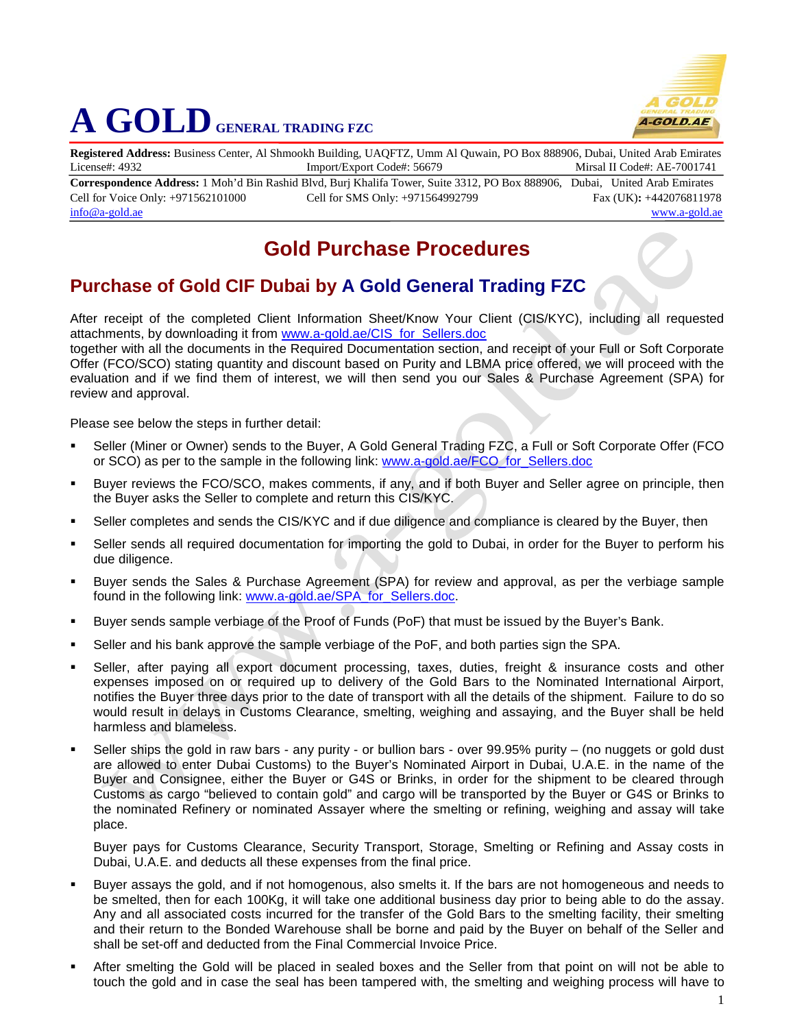

## **A GOLD GENERAL TRADING FZC**

**Registered Address:** Business Center, Al Shmookh Building, UAQFTZ, Umm Al Quwain, PO Box 888906, Dubai, United Arab Emirates License#: 4932 Import/Export Code#: 56679 Mirsal II Code#: AE-7001741

**Correspondence Address:** 1 Moh'd Bin Rashid Blvd, Burj Khalifa Tower, Suite 3312, PO Box 888906, Dubai, United Arab Emirates Cell for Voice Only: +971562101000 Cell for SMS Only: +971564992799 Fax (UK)**:** +442076811978 [info@a-gold.ae](mailto:info@a-gold.ae) [www.a-gold.ae](http://www.a-gold.ae/)

## **Gold Purchase Procedures**

## **Purchase of Gold CIF Dubai by A Gold General Trading FZC**

After receipt of the completed Client Information Sheet/Know Your Client (CIS/KYC), including all requested attachments, by downloading it from [www.a-gold.ae/CIS\\_for\\_Sellers.doc](http://www.a-gold.ae/CIS_for_Sellers.doc)

together with all the documents in the Required Documentation section, and receipt of your Full or Soft Corporate Offer (FCO/SCO) stating quantity and discount based on Purity and LBMA price offered, we will proceed with the evaluation and if we find them of interest, we will then send you our Sales & Purchase Agreement (SPA) for review and approval.

Please see below the steps in further detail:

- Seller (Miner or Owner) sends to the Buyer, A Gold General Trading FZC, a Full or Soft Corporate Offer (FCO or SCO) as per to the sample in the following link: [www.a-gold.ae/FCO\\_for\\_Sellers.doc](http://www.a-gold.ae/FCO_for_Sellers.doc)
- Buyer reviews the FCO/SCO, makes comments, if any, and if both Buyer and Seller agree on principle, then the Buyer asks the Seller to complete and return this CIS/KYC.
- Seller completes and sends the CIS/KYC and if due diligence and compliance is cleared by the Buyer, then
- Seller sends all required documentation for importing the gold to Dubai, in order for the Buyer to perform his due diligence.
- Buyer sends the Sales & Purchase Agreement (SPA) for review and approval, as per the verbiage sample found in the following link: [www.a-gold.ae/SPA\\_for\\_Sellers.doc.](http://www.a-gold.ae/SPA_for_Sellers.doc)
- Buyer sends sample verbiage of the Proof of Funds (PoF) that must be issued by the Buyer's Bank.
- Seller and his bank approve the sample verbiage of the PoF, and both parties sign the SPA.
- Seller, after paying all export document processing, taxes, duties, freight & insurance costs and other expenses imposed on or required up to delivery of the Gold Bars to the Nominated International Airport, notifies the Buyer three days prior to the date of transport with all the details of the shipment. Failure to do so would result in delays in Customs Clearance, smelting, weighing and assaying, and the Buyer shall be held harmless and blameless.
- Seller ships the gold in raw bars any purity or bullion bars over 99.95% purity (no nuggets or gold dust are allowed to enter Dubai Customs) to the Buyer's Nominated Airport in Dubai, U.A.E. in the name of the Buyer and Consignee, either the Buyer or G4S or Brinks, in order for the shipment to be cleared through Customs as cargo "believed to contain gold" and cargo will be transported by the Buyer or G4S or Brinks to the nominated Refinery or nominated Assayer where the smelting or refining, weighing and assay will take place.

Buyer pays for Customs Clearance, Security Transport, Storage, Smelting or Refining and Assay costs in Dubai, U.A.E. and deducts all these expenses from the final price.

- Buyer assays the gold, and if not homogenous, also smelts it. If the bars are not homogeneous and needs to be smelted, then for each 100Kg, it will take one additional business day prior to being able to do the assay. Any and all associated costs incurred for the transfer of the Gold Bars to the smelting facility, their smelting and their return to the Bonded Warehouse shall be borne and paid by the Buyer on behalf of the Seller and shall be set-off and deducted from the Final Commercial Invoice Price.
- After smelting the Gold will be placed in sealed boxes and the Seller from that point on will not be able to touch the gold and in case the seal has been tampered with, the smelting and weighing process will have to